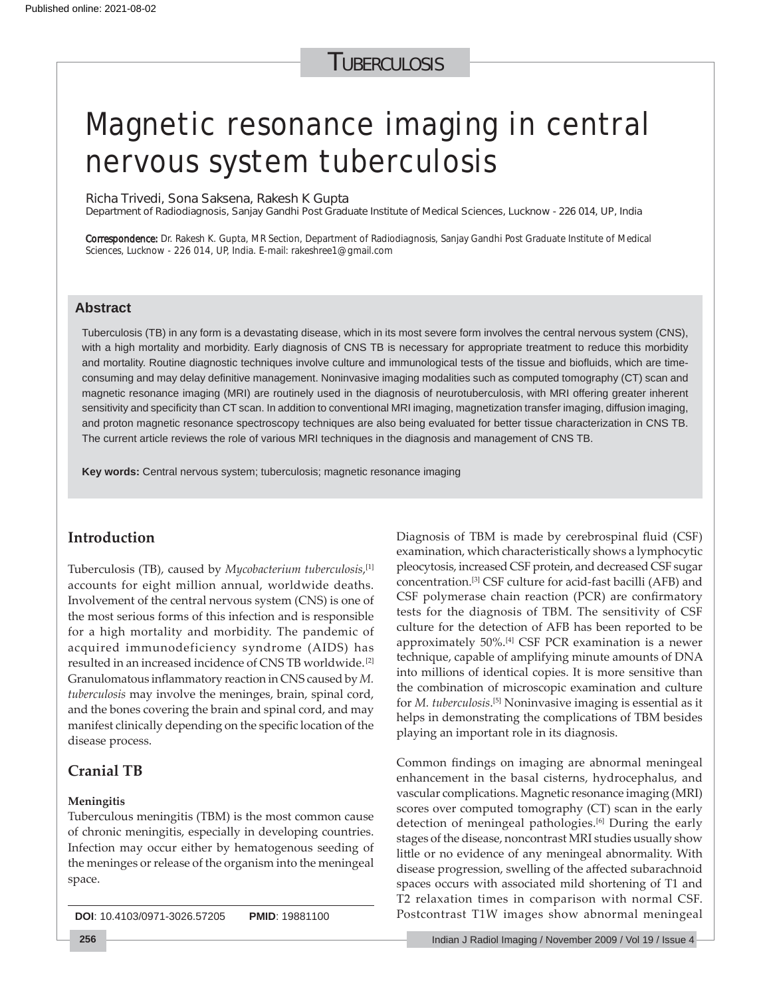## **TUBERCULOSIS**

# Magnetic resonance imaging in central nervous system tuberculosis

Richa Trivedi, Sona Saksena, Rakesh K Gupta

Department of Radiodiagnosis, Sanjay Gandhi Post Graduate Institute of Medical Sciences, Lucknow - 226 014, UP, India

Correspondence: Dr. Rakesh K. Gupta, MR Section, Department of Radiodiagnosis, Sanjay Gandhi Post Graduate Institute of Medical Sciences, Lucknow - 226 014, UP, India. E-mail: rakeshree1@gmail.com

### **Abstract**

Tuberculosis (TB) in any form is a devastating disease, which in its most severe form involves the central nervous system (CNS), with a high mortality and morbidity. Early diagnosis of CNS TB is necessary for appropriate treatment to reduce this morbidity and mortality. Routine diagnostic techniques involve culture and immunological tests of the tissue and biofluids, which are timeconsuming and may delay definitive management. Noninvasive imaging modalities such as computed tomography (CT) scan and magnetic resonance imaging (MRI) are routinely used in the diagnosis of neurotuberculosis, with MRI offering greater inherent sensitivity and specificity than CT scan. In addition to conventional MRI imaging, magnetization transfer imaging, diffusion imaging, and proton magnetic resonance spectroscopy techniques are also being evaluated for better tissue characterization in CNS TB. The current article reviews the role of various MRI techniques in the diagnosis and management of CNS TB.

**Key words:** Central nervous system; tuberculosis; magnetic resonance imaging

## **Introduction**

Tuberculosis (TB), caused by *Mycobacterium tuberculosis*, [1] accounts for eight million annual, worldwide deaths. Involvement of the central nervous system (CNS) is one of the most serious forms of this infection and is responsible for a high mortality and morbidity. The pandemic of acquired immunodeficiency syndrome (AIDS) has resulted in an increased incidence of CNS TB worldwide.[2] Granulomatous inflammatory reaction in CNS caused by *M*. *tuberculosis* may involve the meninges, brain, spinal cord, and the bones covering the brain and spinal cord, and may manifest clinically depending on the specific location of the disease process.

## **Cranial TB**

#### **Meningitis**

Tuberculous meningitis (TBM) is the most common cause of chronic meningitis, especially in developing countries. Infection may occur either by hematogenous seeding of the meninges or release of the organism into the meningeal space.

**DOI**: 10.4103/0971-3026.57205 **PMID**: 19881100

Diagnosis of TBM is made by cerebrospinal fluid (CSF) examination, which characteristically shows a lymphocytic pleocytosis, increased CSF protein, and decreased CSF sugar concentration.[3] CSF culture for acid-fast bacilli (AFB) and CSF polymerase chain reaction (PCR) are confirmatory tests for the diagnosis of TBM. The sensitivity of CSF culture for the detection of AFB has been reported to be approximately 50%.[4] CSF PCR examination is a newer technique, capable of amplifying minute amounts of DNA into millions of identical copies. It is more sensitive than the combination of microscopic examination and culture for *M. tuberculosis*. [5] Noninvasive imaging is essential as it helps in demonstrating the complications of TBM besides playing an important role in its diagnosis.

Common findings on imaging are abnormal meningeal enhancement in the basal cisterns, hydrocephalus, and vascular complications. Magnetic resonance imaging (MRI) scores over computed tomography (CT) scan in the early detection of meningeal pathologies.<sup>[6]</sup> During the early stages of the disease, noncontrast MRI studies usually show little or no evidence of any meningeal abnormality. With disease progression, swelling of the affected subarachnoid spaces occurs with associated mild shortening of T1 and T2 relaxation times in comparison with normal CSF. Postcontrast T1W images show abnormal meningeal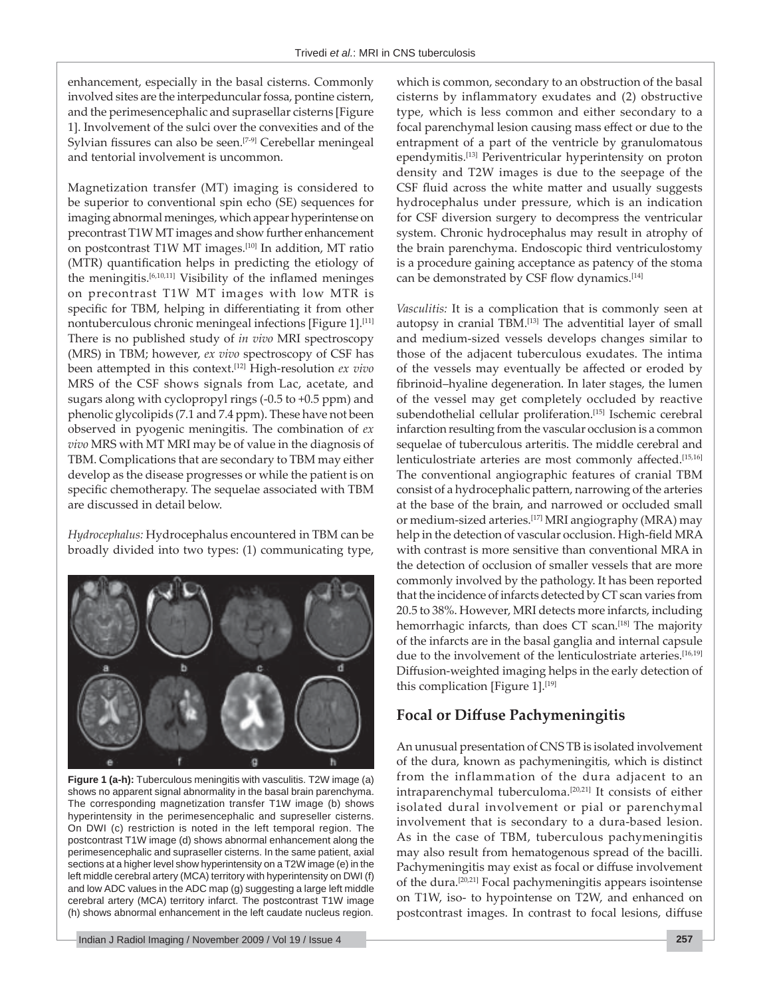enhancement, especially in the basal cisterns. Commonly involved sites are the interpeduncular fossa, pontine cistern, and the perimesencephalic and suprasellar cisterns [Figure 1]. Involvement of the sulci over the convexities and of the Sylvian fissures can also be seen.<sup>[7-9]</sup> Cerebellar meningeal and tentorial involvement is uncommon.

Magnetization transfer (MT) imaging is considered to be superior to conventional spin echo (SE) sequences for imaging abnormal meninges, which appear hyperintense on precontrast T1W MT images and show further enhancement on postcontrast T1W MT images.[10] In addition, MT ratio (MTR) quantification helps in predicting the etiology of the meningitis.<sup>[6,10,11]</sup> Visibility of the inflamed meninges on precontrast T1W MT images with low MTR is specific for TBM, helping in differentiating it from other nontuberculous chronic meningeal infections [Figure 1].<sup>[11]</sup> There is no published study of *in vivo* MRI spectroscopy (MRS) in TBM; however, *ex vivo* spectroscopy of CSF has been attempted in this context.<sup>[12]</sup> High-resolution *ex vivo* MRS of the CSF shows signals from Lac, acetate, and sugars along with cyclopropyl rings (-0.5 to +0.5 ppm) and phenolic glycolipids (7.1 and 7.4 ppm). These have not been observed in pyogenic meningitis. The combination of *ex vivo* MRS with MT MRI may be of value in the diagnosis of TBM. Complications that are secondary to TBM may either develop as the disease progresses or while the patient is on specific chemotherapy. The sequelae associated with TBM are discussed in detail below.

*Hydrocephalus:* Hydrocephalus encountered in TBM can be broadly divided into two types: (1) communicating type,



**Figure 1 (a-h):** Tuberculous meningitis with vasculitis. T2W image (a) shows no apparent signal abnormality in the basal brain parenchyma. The corresponding magnetization transfer T1W image (b) shows hyperintensity in the perimesencephalic and supreseller cisterns. On DWI (c) restriction is noted in the left temporal region. The postcontrast T1W image (d) shows abnormal enhancement along the perimesencephalic and supraseller cisterns. In the same patient, axial sections at a higher level show hyperintensity on a T2W image (e) in the left middle cerebral artery (MCA) territory with hyperintensity on DWI (f) and low ADC values in the ADC map (g) suggesting a large left middle cerebral artery (MCA) territory infarct. The postcontrast T1W image (h) shows abnormal enhancement in the left caudate nucleus region.

which is common, secondary to an obstruction of the basal cisterns by inflammatory exudates and (2) obstructive type, which is less common and either secondary to a focal parenchymal lesion causing mass effect or due to the entrapment of a part of the ventricle by granulomatous ependymitis.[13] Periventricular hyperintensity on proton density and T2W images is due to the seepage of the CSF fluid across the white matter and usually suggests hydrocephalus under pressure, which is an indication for CSF diversion surgery to decompress the ventricular system. Chronic hydrocephalus may result in atrophy of the brain parenchyma. Endoscopic third ventriculostomy is a procedure gaining acceptance as patency of the stoma can be demonstrated by CSF flow dynamics.<sup>[14]</sup>

*Vasculitis:* It is a complication that is commonly seen at autopsy in cranial TBM.<sup>[13]</sup> The adventitial layer of small and medium-sized vessels develops changes similar to those of the adjacent tuberculous exudates. The intima of the vessels may eventually be affected or eroded by fibrinoid-hyaline degeneration. In later stages, the lumen of the vessel may get completely occluded by reactive subendothelial cellular proliferation.[15] Ischemic cerebral infarction resulting from the vascular occlusion is a common sequelae of tuberculous arteritis. The middle cerebral and lenticulostriate arteries are most commonly affected.<sup>[15,16]</sup> The conventional angiographic features of cranial TBM consist of a hydrocephalic pattern, narrowing of the arteries at the base of the brain, and narrowed or occluded small or medium-sized arteries.<sup>[17]</sup> MRI angiography (MRA) may help in the detection of vascular occlusion. High-field MRA with contrast is more sensitive than conventional MRA in the detection of occlusion of smaller vessels that are more commonly involved by the pathology. It has been reported that the incidence of infarcts detected by CT scan varies from 20.5 to 38%. However, MRI detects more infarcts, including hemorrhagic infarcts, than does CT scan.<sup>[18]</sup> The majority of the infarcts are in the basal ganglia and internal capsule due to the involvement of the lenticulostriate arteries.<sup>[16,19]</sup> Diffusion-weighted imaging helps in the early detection of this complication [Figure 1].<sup>[19]</sup>

## **Focal or Diff use Pachymeningitis**

An unusual presentation of CNS TB is isolated involvement of the dura, known as pachymeningitis, which is distinct from the inflammation of the dura adjacent to an intraparenchymal tuberculoma.[20,21] It consists of either isolated dural involvement or pial or parenchymal involvement that is secondary to a dura-based lesion. As in the case of TBM, tuberculous pachymeningitis may also result from hematogenous spread of the bacilli. Pachymeningitis may exist as focal or diffuse involvement of the dura.[20,21] Focal pachymeningitis appears isointense on T1W, iso- to hypointense on T2W, and enhanced on postcontrast images. In contrast to focal lesions, diffuse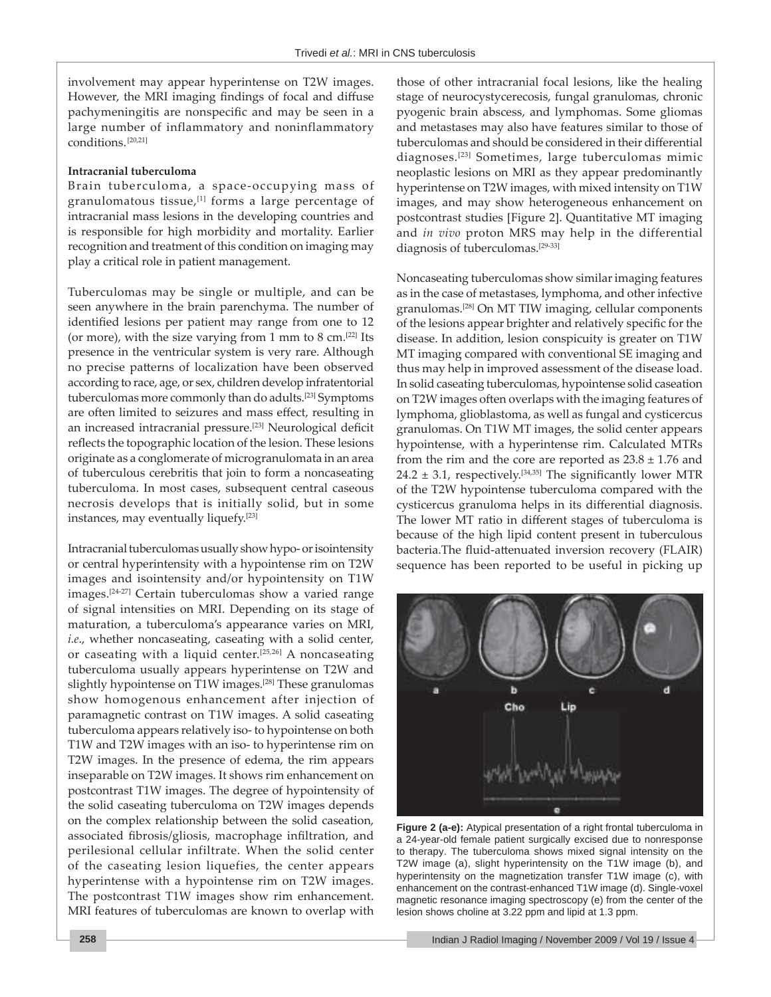involvement may appear hyperintense on T2W images. However, the MRI imaging findings of focal and diffuse pachymeningitis are nonspecific and may be seen in a large number of inflammatory and noninflammatory conditions.[20,21]

#### **Intracranial tuberculoma**

Brain tuberculoma, a space-occupying mass of granulomatous tissue,<sup>[1]</sup> forms a large percentage of intracranial mass lesions in the developing countries and is responsible for high morbidity and mortality. Earlier recognition and treatment of this condition on imaging may play a critical role in patient management.

Tuberculomas may be single or multiple, and can be seen anywhere in the brain parenchyma. The number of identified lesions per patient may range from one to 12 (or more), with the size varying from 1 mm to 8 cm. $[22]$  Its presence in the ventricular system is very rare. Although no precise patterns of localization have been observed according to race, age, or sex, children develop infratentorial tuberculomas more commonly than do adults.[23] Symptoms are often limited to seizures and mass effect, resulting in an increased intracranial pressure.<sup>[23]</sup> Neurological deficit reflects the topographic location of the lesion. These lesions originate as a conglomerate of microgranulomata in an area of tuberculous cerebritis that join to form a noncaseating tuberculoma. In most cases, subsequent central caseous necrosis develops that is initially solid, but in some instances, may eventually liquefy.[23]

Intracranial tuberculomas usually show hypo- or isointensity or central hyperintensity with a hypointense rim on T2W images and isointensity and/or hypointensity on T1W images.[24-27] Certain tuberculomas show a varied range of signal intensities on MRI. Depending on its stage of maturation, a tuberculoma's appearance varies on MRI, *i.e*., whether noncaseating, caseating with a solid center, or caseating with a liquid center.[25,26] A noncaseating tuberculoma usually appears hyperintense on T2W and slightly hypointense on T1W images.<sup>[28]</sup> These granulomas show homogenous enhancement after injection of paramagnetic contrast on T1W images. A solid caseating tuberculoma appears relatively iso- to hypointense on both T1W and T2W images with an iso- to hyperintense rim on T2W images. In the presence of edema, the rim appears inseparable on T2W images. It shows rim enhancement on postcontrast T1W images. The degree of hypointensity of the solid caseating tuberculoma on T2W images depends on the complex relationship between the solid caseation, associated fibrosis/gliosis, macrophage infiltration, and perilesional cellular infiltrate. When the solid center of the caseating lesion liquefies, the center appears hyperintense with a hypointense rim on T2W images. The postcontrast T1W images show rim enhancement. MRI features of tuberculomas are known to overlap with

those of other intracranial focal lesions, like the healing stage of neurocystycerecosis, fungal granulomas, chronic pyogenic brain abscess, and lymphomas. Some gliomas and metastases may also have features similar to those of tuberculomas and should be considered in their differential diagnoses.[23] Sometimes, large tuberculomas mimic neoplastic lesions on MRI as they appear predominantly hyperintense on T2W images, with mixed intensity on T1W images, and may show heterogeneous enhancement on postcontrast studies [Figure 2]. Quantitative MT imaging and *in vivo* proton MRS may help in the differential diagnosis of tuberculomas.[29-33]

Noncaseating tuberculomas show similar imaging features as in the case of metastases, lymphoma, and other infective granulomas.[28] On MT TIW imaging, cellular components of the lesions appear brighter and relatively specific for the disease. In addition, lesion conspicuity is greater on T1W MT imaging compared with conventional SE imaging and thus may help in improved assessment of the disease load. In solid caseating tuberculomas, hypointense solid caseation on T2W images often overlaps with the imaging features of lymphoma, glioblastoma, as well as fungal and cysticercus granulomas. On T1W MT images, the solid center appears hypointense, with a hyperintense rim. Calculated MTRs from the rim and the core are reported as  $23.8 \pm 1.76$  and 24.2  $\pm$  3.1, respectively.<sup>[34,35]</sup> The significantly lower MTR of the T2W hypointense tuberculoma compared with the cysticercus granuloma helps in its differential diagnosis. The lower MT ratio in different stages of tuberculoma is because of the high lipid content present in tuberculous bacteria.The fluid-attenuated inversion recovery (FLAIR) sequence has been reported to be useful in picking up



**Figure 2 (a-e):** Atypical presentation of a right frontal tuberculoma in a 24-year-old female patient surgically excised due to nonresponse to therapy. The tuberculoma shows mixed signal intensity on the T2W image (a), slight hyperintensity on the T1W image (b), and hyperintensity on the magnetization transfer T1W image (c), with enhancement on the contrast-enhanced T1W image (d). Single-voxel magnetic resonance imaging spectroscopy (e) from the center of the lesion shows choline at 3.22 ppm and lipid at 1.3 ppm.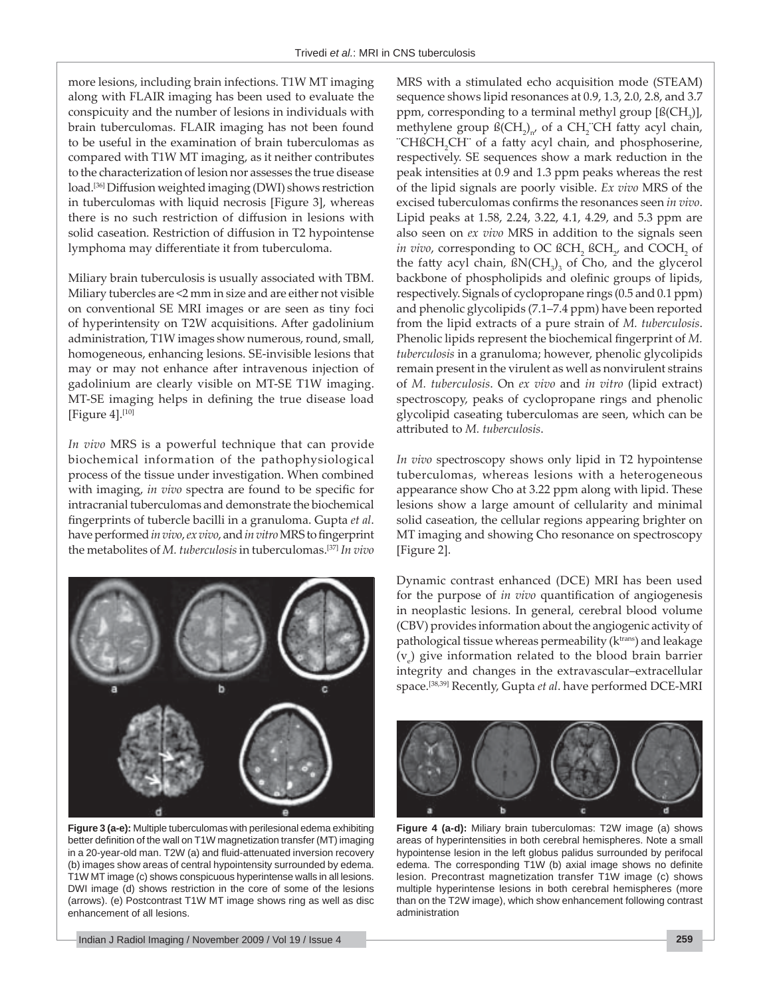more lesions, including brain infections. T1W MT imaging along with FLAIR imaging has been used to evaluate the conspicuity and the number of lesions in individuals with brain tuberculomas. FLAIR imaging has not been found to be useful in the examination of brain tuberculomas as compared with T1W MT imaging, as it neither contributes to the characterization of lesion nor assesses the true disease load.<sup>[36]</sup> Diffusion weighted imaging (DWI) shows restriction in tuberculomas with liquid necrosis [Figure 3], whereas there is no such restriction of diffusion in lesions with solid caseation. Restriction of diffusion in T2 hypointense lymphoma may differentiate it from tuberculoma.

Miliary brain tuberculosis is usually associated with TBM. Miliary tubercles are <2 mm in size and are either not visible on conventional SE MRI images or are seen as tiny foci of hyperintensity on T2W acquisitions. After gadolinium administration, T1W images show numerous, round, small, homogeneous, enhancing lesions. SE-invisible lesions that may or may not enhance after intravenous injection of gadolinium are clearly visible on MT-SE T1W imaging. MT-SE imaging helps in defining the true disease load [Figure  $4$ ].<sup>[10]</sup>

*In vivo* MRS is a powerful technique that can provide biochemical information of the pathophysiological process of the tissue under investigation. When combined with imaging, *in vivo* spectra are found to be specific for intracranial tuberculomas and demonstrate the biochemical fingerprints of tubercle bacilli in a granuloma. Gupta et al. have performed *in vivo*, *ex vivo*, and *in vitro* MRS to fingerprint the metabolites of *M. tuberculosis* in tuberculomas.[37] *In vivo*



**Figure 3 (a-e):** Multiple tuberculomas with perilesional edema exhibiting better definition of the wall on T1W magnetization transfer (MT) imaging in a 20-year-old man. T2W (a) and fluid-attenuated inversion recovery (b) images show areas of central hypointensity surrounded by edema. T1W MT image (c) shows conspicuous hyperintense walls in all lesions. DWI image (d) shows restriction in the core of some of the lesions (arrows). (e) Postcontrast T1W MT image shows ring as well as disc enhancement of all lesions.

MRS with a stimulated echo acquisition mode (STEAM) sequence shows lipid resonances at 0.9, 1.3, 2.0, 2.8, and 3.7 ppm, corresponding to a terminal methyl group  $[\mathfrak{B}(\mathrm{CH}_{3})]$ , methylene group  $\mathfrak{B}(\mathrm{CH}_2)_{n'}$  of a  $\mathrm{CH}_2^-$ CH fatty acyl chain, "CHßCH<sub>2</sub>CH" of a fatty acyl chain, and phosphoserine, respectively. SE sequences show a mark reduction in the peak intensities at 0.9 and 1.3 ppm peaks whereas the rest of the lipid signals are poorly visible. *Ex vivo* MRS of the excised tuberculomas confirms the resonances seen *in vivo*. Lipid peaks at 1.58, 2.24, 3.22, 4.1, 4.29, and 5.3 ppm are also seen on *ex vivo* MRS in addition to the signals seen *in vivo,* corresponding to OC  $\beta$ CH<sub>2</sub>  $\beta$ CH<sub>2</sub>, and COCH<sub>2</sub> of the fatty acyl chain,  $\frac{f(NCH_3)}{3}$  of Cho, and the glycerol backbone of phospholipids and olefinic groups of lipids, respectively. Signals of cyclopropane rings (0.5 and 0.1 ppm) and phenolic glycolipids (7.1–7.4 ppm) have been reported from the lipid extracts of a pure strain of *M. tuberculosis*. Phenolic lipids represent the biochemical fingerprint of *M*. *tuberculosis* in a granuloma; however, phenolic glycolipids remain present in the virulent as well as nonvirulent strains of *M. tuberculosis*. On *ex vivo* and *in vitro* (lipid extract) spectroscopy, peaks of cyclopropane rings and phenolic glycolipid caseating tuberculomas are seen, which can be att ributed to *M. tuberculosis*.

*In vivo* spectroscopy shows only lipid in T2 hypointense tuberculomas, whereas lesions with a heterogeneous appearance show Cho at 3.22 ppm along with lipid. These lesions show a large amount of cellularity and minimal solid caseation, the cellular regions appearing brighter on MT imaging and showing Cho resonance on spectroscopy [Figure 2].

Dynamic contrast enhanced (DCE) MRI has been used for the purpose of *in vivo* quantification of angiogenesis in neoplastic lesions. In general, cerebral blood volume (CBV) provides information about the angiogenic activity of pathological tissue whereas permeability  $(k<sup>trans</sup>)$  and leakage  $(v_e)$  give information related to the blood brain barrier integrity and changes in the extravascular-extracellular space.[38,39] Recently, Gupta *et al*. have performed DCE-MRI



**Figure 4 (a-d):** Miliary brain tuberculomas: T2W image (a) shows areas of hyperintensities in both cerebral hemispheres. Note a small hypointense lesion in the left globus palidus surrounded by perifocal edema. The corresponding T1W (b) axial image shows no definite lesion. Precontrast magnetization transfer T1W image (c) shows multiple hyperintense lesions in both cerebral hemispheres (more than on the T2W image), which show enhancement following contrast administration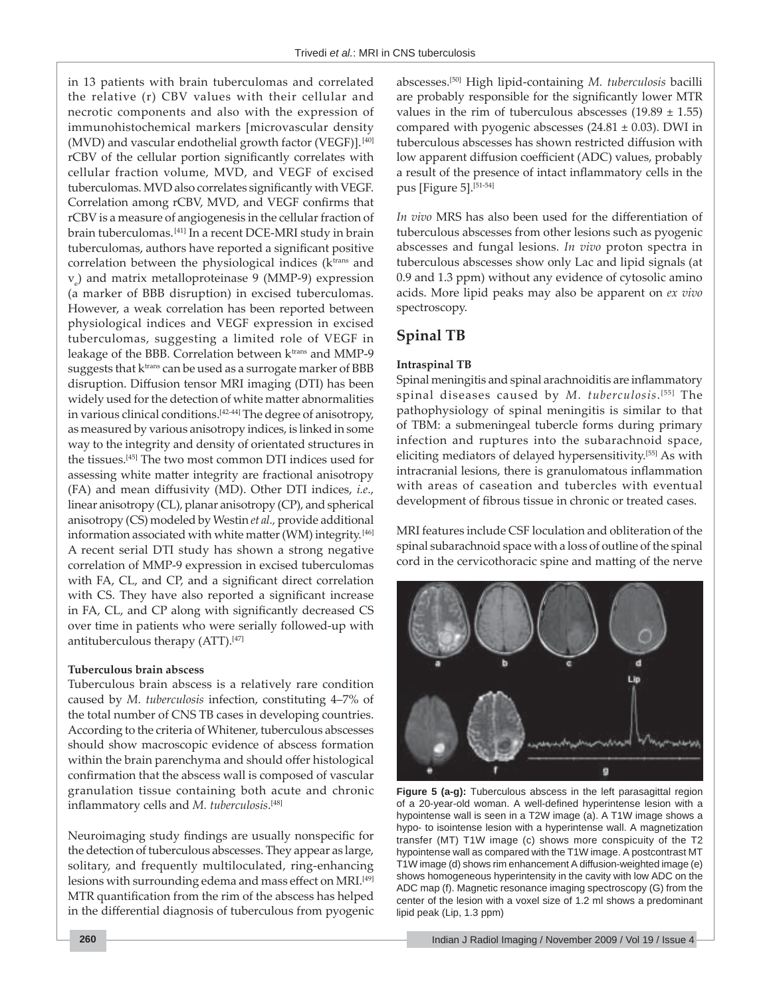in 13 patients with brain tuberculomas and correlated the relative (r) CBV values with their cellular and necrotic components and also with the expression of immunohistochemical markers [microvascular density (MVD) and vascular endothelial growth factor (VEGF)].<sup>[40]</sup> rCBV of the cellular portion significantly correlates with cellular fraction volume, MVD, and VEGF of excised tuberculomas. MVD also correlates significantly with VEGF. Correlation among rCBV, MVD, and VEGF confirms that rCBV is a measure of angiogenesis in the cellular fraction of brain tuberculomas.[41] In a recent DCE-MRI study in brain tuberculomas, authors have reported a significant positive correlation between the physiological indices (k<sup>trans</sup> and ve ) and matrix metalloproteinase 9 (MMP-9) expression (a marker of BBB disruption) in excised tuberculomas. However, a weak correlation has been reported between physiological indices and VEGF expression in excised tuberculomas, suggesting a limited role of VEGF in leakage of the BBB. Correlation between k<sup>trans</sup> and MMP-9 suggests that  $k<sup>trans</sup>$  can be used as a surrogate marker of BBB disruption. Diffusion tensor MRI imaging (DTI) has been widely used for the detection of white matter abnormalities in various clinical conditions.[42-44] The degree of anisotropy, as measured by various anisotropy indices, is linked in some way to the integrity and density of orientated structures in the tissues.[45] The two most common DTI indices used for assessing white matter integrity are fractional anisotropy (FA) and mean diffusivity (MD). Other DTI indices, *i.e.*, linear anisotropy (CL), planar anisotropy (CP), and spherical anisotropy (CS) modeled by Westin *et al.,* provide additional information associated with white matter (WM) integrity.<sup>[46]</sup> A recent serial DTI study has shown a strong negative correlation of MMP-9 expression in excised tuberculomas with FA, CL, and CP, and a significant direct correlation with CS. They have also reported a significant increase in FA, CL, and CP along with significantly decreased CS over time in patients who were serially followed-up with antituberculous therapy  $(ATT).$ <sup>[47]</sup>

#### **Tuberculous brain abscess**

Tuberculous brain abscess is a relatively rare condition caused by *M. tuberculosis* infection, constituting 4-7% of the total number of CNS TB cases in developing countries. According to the criteria of Whitener, tuberculous abscesses should show macroscopic evidence of abscess formation within the brain parenchyma and should offer histological confirmation that the abscess wall is composed of vascular granulation tissue containing both acute and chronic inflammatory cells and *M. tuberculosis*.<sup>[48]</sup>

Neuroimaging study findings are usually nonspecific for the detection of tuberculous abscesses. They appear as large, solitary, and frequently multiloculated, ring-enhancing lesions with surrounding edema and mass effect on MRI.<sup>[49]</sup> MTR quantification from the rim of the abscess has helped in the differential diagnosis of tuberculous from pyogenic abscesses.[50] High lipid-containing *M. tuberculosis* bacilli are probably responsible for the significantly lower MTR values in the rim of tuberculous abscesses  $(19.89 \pm 1.55)$ compared with pyogenic abscesses  $(24.81 \pm 0.03)$ . DWI in tuberculous abscesses has shown restricted diffusion with low apparent diffusion coefficient (ADC) values, probably a result of the presence of intact inflammatory cells in the pus [Figure 5].<sup>[51-54]</sup>

*In vivo* MRS has also been used for the differentiation of tuberculous abscesses from other lesions such as pyogenic abscesses and fungal lesions. *In vivo* proton spectra in tuberculous abscesses show only Lac and lipid signals (at 0.9 and 1.3 ppm) without any evidence of cytosolic amino acids. More lipid peaks may also be apparent on *ex vivo* spectroscopy.

## **Spinal TB**

## **Intraspinal TB**

Spinal meningitis and spinal arachnoiditis are inflammatory spinal diseases caused by *M. tuberculosis*. [55] The pathophysiology of spinal meningitis is similar to that of TBM: a submeningeal tubercle forms during primary infection and ruptures into the subarachnoid space, eliciting mediators of delayed hypersensitivity.[55] As with intracranial lesions, there is granulomatous inflammation with areas of caseation and tubercles with eventual development of fibrous tissue in chronic or treated cases.

MRI features include CSF loculation and obliteration of the spinal subarachnoid space with a loss of outline of the spinal cord in the cervicothoracic spine and matting of the nerve



Figure 5 (a-g): Tuberculous abscess in the left parasagittal region of a 20-year-old woman. A well-defined hyperintense lesion with a hypointense wall is seen in a T2W image (a). A T1W image shows a hypo- to isointense lesion with a hyperintense wall. A magnetization transfer (MT) T1W image (c) shows more conspicuity of the T2 hypointense wall as compared with the T1W image. A postcontrast MT T1W image (d) shows rim enhancement A diffusion-weighted image (e) shows homogeneous hyperintensity in the cavity with low ADC on the ADC map (f). Magnetic resonance imaging spectroscopy (G) from the center of the lesion with a voxel size of 1.2 ml shows a predominant lipid peak (Lip, 1.3 ppm)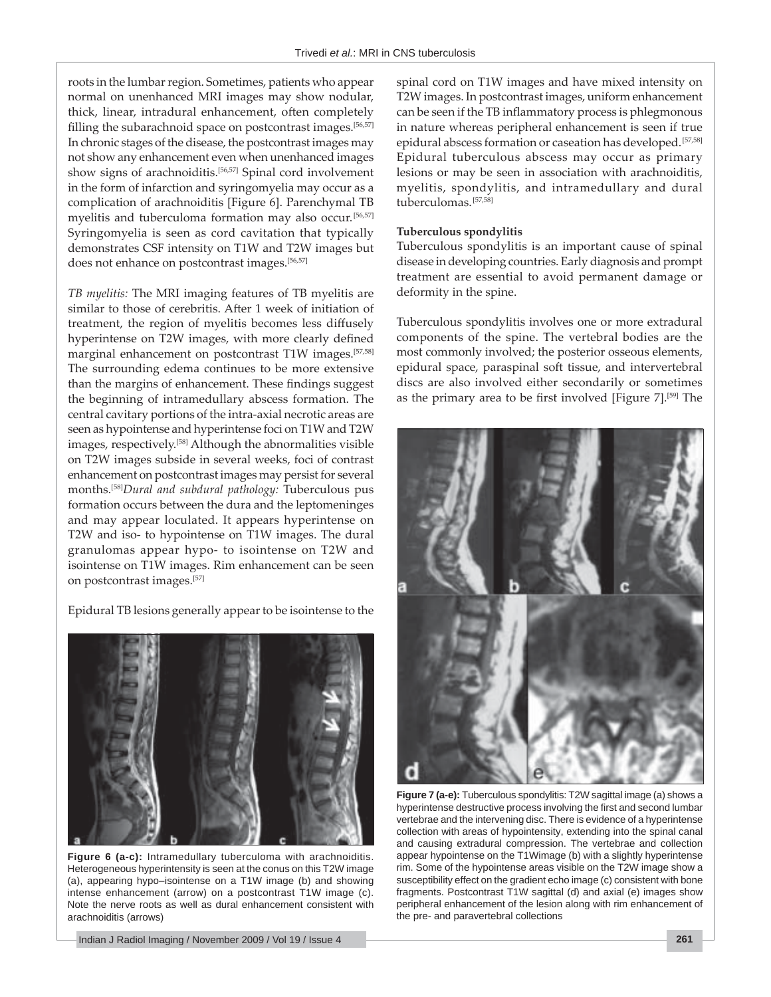roots in the lumbar region. Sometimes, patients who appear normal on unenhanced MRI images may show nodular, thick, linear, intradural enhancement, often completely filling the subarachnoid space on postcontrast images.<sup>[56,57]</sup> In chronic stages of the disease, the postcontrast images may not show any enhancement even when unenhanced images show signs of arachnoiditis.<sup>[56,57]</sup> Spinal cord involvement in the form of infarction and syringomyelia may occur as a complication of arachnoiditis [Figure 6]. Parenchymal TB myelitis and tuberculoma formation may also occur.[56,57] Syringomyelia is seen as cord cavitation that typically demonstrates CSF intensity on T1W and T2W images but does not enhance on postcontrast images.<sup>[56,57]</sup>

*TB myelitis:* The MRI imaging features of TB myelitis are similar to those of cerebritis. After 1 week of initiation of treatment, the region of myelitis becomes less diffusely hyperintense on T2W images, with more clearly defined marginal enhancement on postcontrast T1W images.<sup>[57,58]</sup> The surrounding edema continues to be more extensive than the margins of enhancement. These findings suggest the beginning of intramedullary abscess formation. The central cavitary portions of the intra-axial necrotic areas are seen as hypointense and hyperintense foci on T1W and T2W images, respectively.[58] Although the abnormalities visible on T2W images subside in several weeks, foci of contrast enhancement on postcontrast images may persist for several months.[58]*Dural and subdural pathology:* Tuberculous pus formation occurs between the dura and the leptomeninges and may appear loculated. It appears hyperintense on T2W and iso- to hypointense on T1W images. The dural granulomas appear hypo- to isointense on T2W and isointense on T1W images. Rim enhancement can be seen on postcontrast images.[57]

Epidural TB lesions generally appear to be isointense to the



**Figure 6 (a-c):** Intramedullary tuberculoma with arachnoiditis. Heterogeneous hyperintensity is seen at the conus on this T2W image (a), appearing hypo–isointense on a T1W image (b) and showing intense enhancement (arrow) on a postcontrast T1W image (c). Note the nerve roots as well as dural enhancement consistent with arachnoiditis (arrows)

Indian J Radiol Imaging / November 2009 / Vol 19 / Issue 4 **261**

spinal cord on T1W images and have mixed intensity on T2W images. In postcontrast images, uniform enhancement can be seen if the TB inflammatory process is phlegmonous in nature whereas peripheral enhancement is seen if true epidural abscess formation or caseation has developed.[57,58] Epidural tuberculous abscess may occur as primary lesions or may be seen in association with arachnoiditis, myelitis, spondylitis, and intramedullary and dural tuberculomas.[57,58]

## **Tuberculous spondylitis**

Tuberculous spondylitis is an important cause of spinal disease in developing countries. Early diagnosis and prompt treatment are essential to avoid permanent damage or deformity in the spine.

Tuberculous spondylitis involves one or more extradural components of the spine. The vertebral bodies are the most commonly involved; the posterior osseous elements, epidural space, paraspinal soft tissue, and intervertebral discs are also involved either secondarily or sometimes as the primary area to be first involved [Figure  $7$ ].<sup>[59]</sup> The



**Figure 7 (a-e):** Tuberculous spondylitis: T2W sagittal image (a) shows a hyperintense destructive process involving the first and second lumbar vertebrae and the intervening disc. There is evidence of a hyperintense collection with areas of hypointensity, extending into the spinal canal and causing extradural compression. The vertebrae and collection appear hypointense on the T1Wimage (b) with a slightly hyperintense rim. Some of the hypointense areas visible on the T2W image show a susceptibility effect on the gradient echo image (c) consistent with bone fragments. Postcontrast T1W sagittal (d) and axial (e) images show peripheral enhancement of the lesion along with rim enhancement of the pre- and paravertebral collections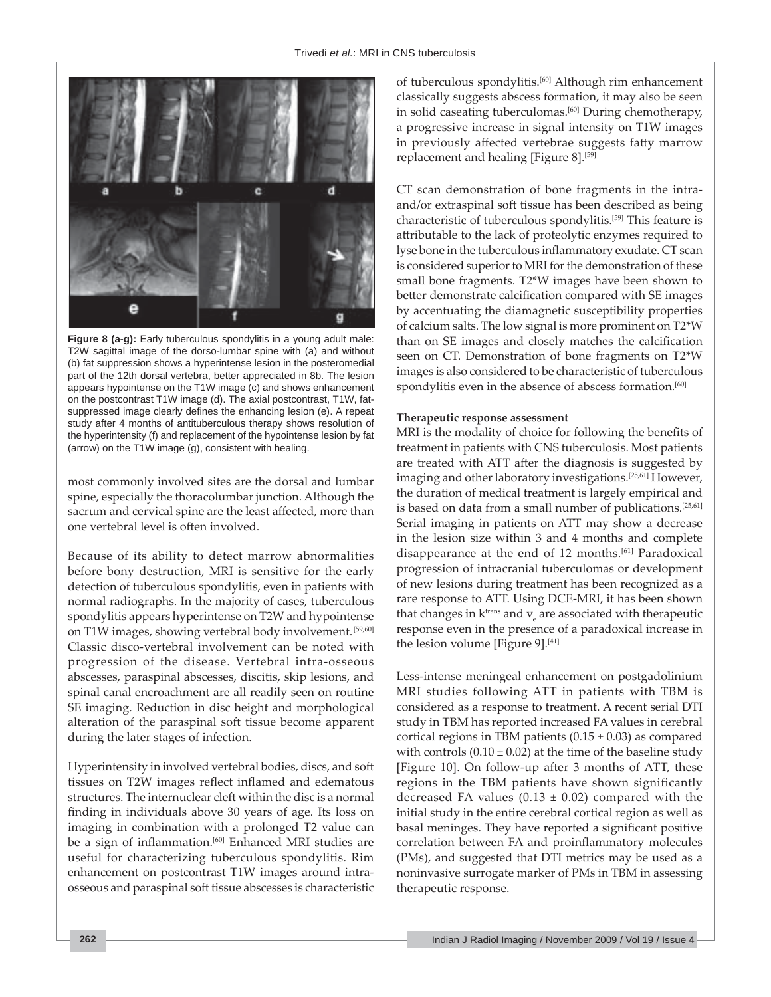

**Figure 8 (a-g):** Early tuberculous spondylitis in a young adult male: T2W sagittal image of the dorso-lumbar spine with (a) and without (b) fat suppression shows a hyperintense lesion in the posteromedial part of the 12th dorsal vertebra, better appreciated in 8b. The lesion appears hypointense on the T1W image (c) and shows enhancement on the postcontrast T1W image (d). The axial postcontrast, T1W, fatsuppressed image clearly defines the enhancing lesion (e). A repeat study after 4 months of antituberculous therapy shows resolution of the hyperintensity (f) and replacement of the hypointense lesion by fat (arrow) on the T1W image (g), consistent with healing.

most commonly involved sites are the dorsal and lumbar spine, especially the thoracolumbar junction. Although the sacrum and cervical spine are the least affected, more than one vertebral level is often involved.

Because of its ability to detect marrow abnormalities before bony destruction, MRI is sensitive for the early detection of tuberculous spondylitis, even in patients with normal radiographs. In the majority of cases, tuberculous spondylitis appears hyperintense on T2W and hypointense on T1W images, showing vertebral body involvement.<sup>[59,60]</sup> Classic disco-vertebral involvement can be noted with progression of the disease. Vertebral intra-osseous abscesses, paraspinal abscesses, discitis, skip lesions, and spinal canal encroachment are all readily seen on routine SE imaging. Reduction in disc height and morphological alteration of the paraspinal soft tissue become apparent during the later stages of infection.

Hyperintensity in involved vertebral bodies, discs, and soft tissues on T2W images reflect inflamed and edematous structures. The internuclear cleft within the disc is a normal finding in individuals above 30 years of age. Its loss on imaging in combination with a prolonged T2 value can be a sign of inflammation.<sup>[60]</sup> Enhanced MRI studies are useful for characterizing tuberculous spondylitis. Rim enhancement on postcontrast T1W images around intraosseous and paraspinal soft tissue abscesses is characteristic

of tuberculous spondylitis.[60] Although rim enhancement classically suggests abscess formation, it may also be seen in solid caseating tuberculomas.<sup>[60]</sup> During chemotherapy, a progressive increase in signal intensity on T1W images in previously affected vertebrae suggests fatty marrow replacement and healing [Figure 8].<sup>[59]</sup>

CT scan demonstration of bone fragments in the intraand/or extraspinal soft tissue has been described as being characteristic of tuberculous spondylitis.[59] This feature is attributable to the lack of proteolytic enzymes required to lyse bone in the tuberculous inflammatory exudate. CT scan is considered superior to MRI for the demonstration of these small bone fragments. T2\*W images have been shown to better demonstrate calcification compared with SE images by accentuating the diamagnetic susceptibility properties of calcium salts. The low signal is more prominent on T2\*W than on SE images and closely matches the calcification seen on CT. Demonstration of bone fragments on T2\*W images is also considered to be characteristic of tuberculous spondylitis even in the absence of abscess formation.<sup>[60]</sup>

#### **Therapeutic response assessment**

MRI is the modality of choice for following the benefits of treatment in patients with CNS tuberculosis. Most patients are treated with ATT after the diagnosis is suggested by imaging and other laboratory investigations.[25,61] However, the duration of medical treatment is largely empirical and is based on data from a small number of publications.<sup>[25,61]</sup> Serial imaging in patients on ATT may show a decrease in the lesion size within 3 and 4 months and complete disappearance at the end of 12 months.<sup>[61]</sup> Paradoxical progression of intracranial tuberculomas or development of new lesions during treatment has been recognized as a rare response to ATT. Using DCE-MRI, it has been shown that changes in  $k^{\text{trans}}$  and  $v_{\text{e}}$  are associated with therapeutic response even in the presence of a paradoxical increase in the lesion volume [Figure 9].<sup>[41]</sup>

Less-intense meningeal enhancement on postgadolinium MRI studies following ATT in patients with TBM is considered as a response to treatment. A recent serial DTI study in TBM has reported increased FA values in cerebral cortical regions in TBM patients  $(0.15 \pm 0.03)$  as compared with controls  $(0.10 \pm 0.02)$  at the time of the baseline study [Figure 10]. On follow-up after 3 months of ATT, these regions in the TBM patients have shown significantly decreased FA values ( $0.13 \pm 0.02$ ) compared with the initial study in the entire cerebral cortical region as well as basal meninges. They have reported a significant positive correlation between FA and proinflammatory molecules (PMs), and suggested that DTI metrics may be used as a noninvasive surrogate marker of PMs in TBM in assessing therapeutic response.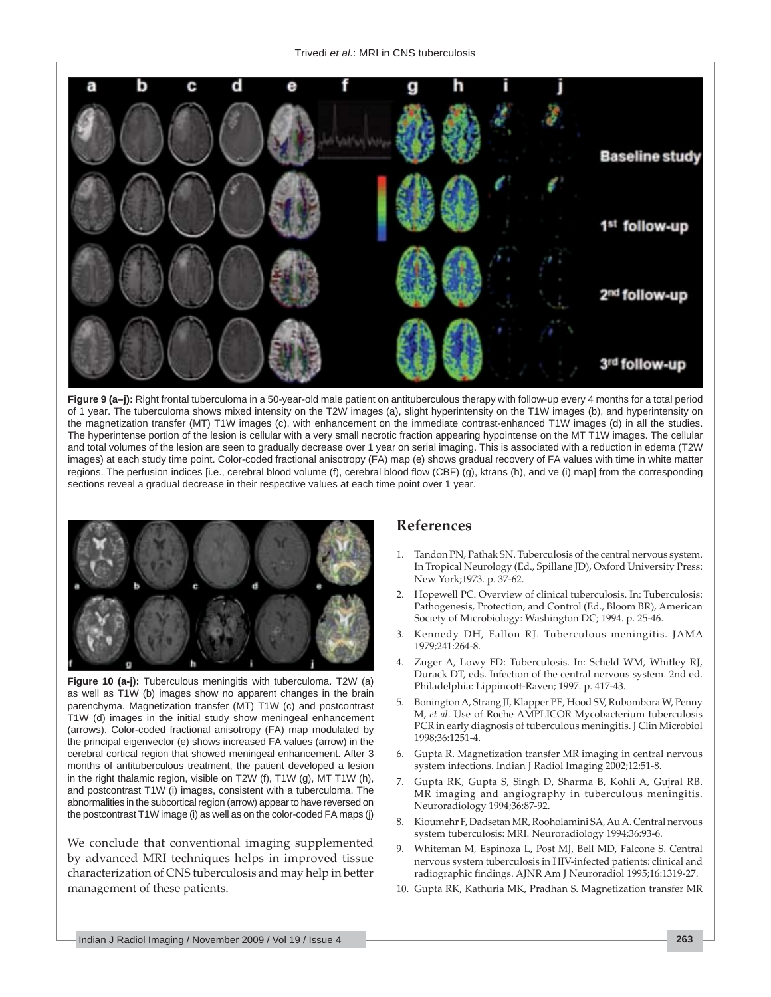

**Figure 9 (a–j):** Right frontal tuberculoma in a 50-year-old male patient on antituberculous therapy with follow-up every 4 months for a total period of 1 year. The tuberculoma shows mixed intensity on the T2W images (a), slight hyperintensity on the T1W images (b), and hyperintensity on the magnetization transfer (MT) T1W images (c), with enhancement on the immediate contrast-enhanced T1W images (d) in all the studies. The hyperintense portion of the lesion is cellular with a very small necrotic fraction appearing hypointense on the MT T1W images. The cellular and total volumes of the lesion are seen to gradually decrease over 1 year on serial imaging. This is associated with a reduction in edema (T2W images) at each study time point. Color-coded fractional anisotropy (FA) map (e) shows gradual recovery of FA values with time in white matter regions. The perfusion indices [i.e., cerebral blood volume (f), cerebral blood flow (CBF) (g), ktrans (h), and ve (i) map] from the corresponding sections reveal a gradual decrease in their respective values at each time point over 1 year.



**Figure 10 (a-j):** Tuberculous meningitis with tuberculoma. T2W (a) as well as T1W (b) images show no apparent changes in the brain parenchyma. Magnetization transfer (MT) T1W (c) and postcontrast T1W (d) images in the initial study show meningeal enhancement (arrows). Color-coded fractional anisotropy (FA) map modulated by the principal eigenvector (e) shows increased FA values (arrow) in the cerebral cortical region that showed meningeal enhancement. After 3 months of antituberculous treatment, the patient developed a lesion in the right thalamic region, visible on T2W (f), T1W (g), MT T1W (h), and postcontrast T1W (i) images, consistent with a tuberculoma. The abnormalities in the subcortical region (arrow) appear to have reversed on the postcontrast T1W image (i) as well as on the color-coded FA maps (j)

We conclude that conventional imaging supplemented by advanced MRI techniques helps in improved tissue characterization of CNS tuberculosis and may help in better management of these patients.

## **References**

- 1. Tandon PN, Pathak SN. Tuberculosis of the central nervous system. In Tropical Neurology (Ed., Spillane JD), Oxford University Press: New York;1973. p. 37-62.
- 2. Hopewell PC. Overview of clinical tuberculosis. In: Tuberculosis: Pathogenesis, Protection, and Control (Ed., Bloom BR), American Society of Microbiology: Washington DC; 1994. p. 25-46.
- 3. Kennedy DH, Fallon RJ. Tuberculous meningitis. JAMA 1979;241:264-8.
- 4. Zuger A, Lowy FD: Tuberculosis. In: Scheld WM, Whitley RJ, Durack DT, eds. Infection of the central nervous system. 2nd ed. Philadelphia: Lippincott -Raven; 1997. p. 417-43.
- 5. Bonington A, Strang JI, Klapper PE, Hood SV, Rubombora W, Penny M, *et al*. Use of Roche AMPLICOR Mycobacterium tuberculosis PCR in early diagnosis of tuberculous meningitis. J Clin Microbiol 1998;36:1251-4.
- 6. Gupta R. Magnetization transfer MR imaging in central nervous system infections. Indian J Radiol Imaging 2002;12:51-8.
- 7. Gupta RK, Gupta S, Singh D, Sharma B, Kohli A, Gujral RB. MR imaging and angiography in tuberculous meningitis. Neuroradiology 1994;36:87-92.
- 8. Kioumehr F, Dadsetan MR, Rooholamini SA, Au A. Central nervous system tuberculosis: MRI. Neuroradiology 1994;36:93-6.
- 9. Whiteman M, Espinoza L, Post MJ, Bell MD, Falcone S. Central nervous system tuberculosis in HIV-infected patients: clinical and radiographic findings. AJNR Am J Neuroradiol 1995;16:1319-27.
- 10. Gupta RK, Kathuria MK, Pradhan S. Magnetization transfer MR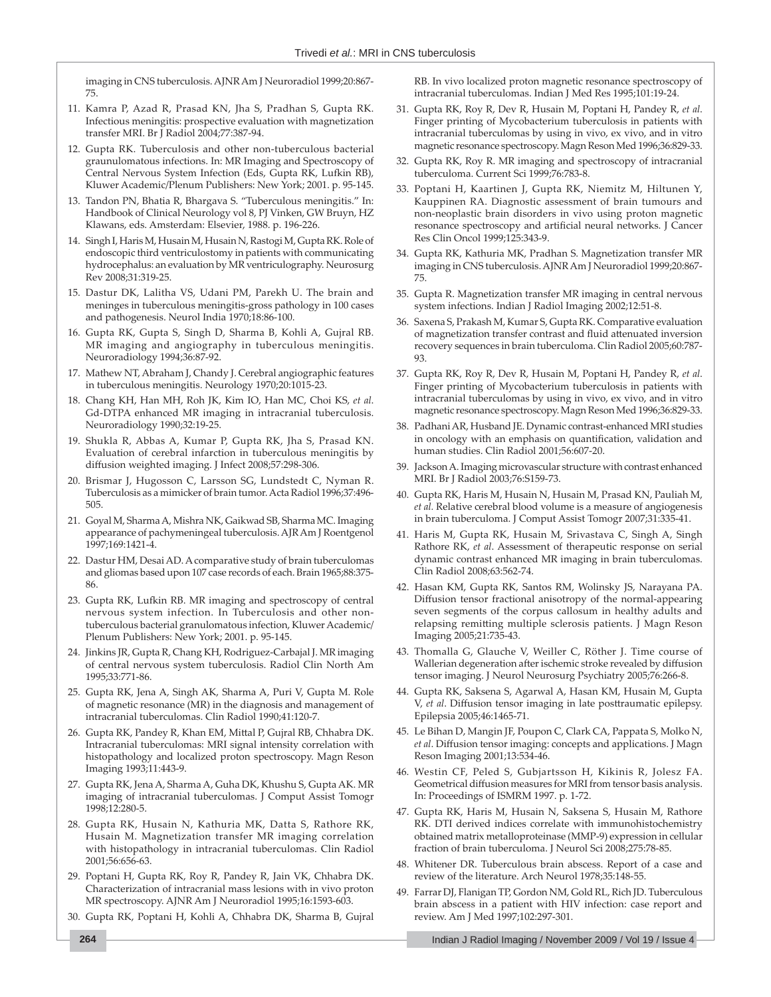imaging in CNS tuberculosis. AJNR Am J Neuroradiol 1999;20:867- 75.

- 11. Kamra P, Azad R, Prasad KN, Jha S, Pradhan S, Gupta RK. Infectious meningitis: prospective evaluation with magnetization transfer MRI. Br J Radiol 2004;77:387-94.
- 12. Gupta RK. Tuberculosis and other non-tuberculous bacterial graunulomatous infections. In: MR Imaging and Spectroscopy of Central Nervous System Infection (Eds, Gupta RK, Lufkin RB), Kluwer Academic/Plenum Publishers: New York; 2001. p. 95-145.
- 13. Tandon PN, Bhatia R, Bhargava S. "Tuberculous meningitis." In: Handbook of Clinical Neurology vol 8, PJ Vinken, GW Bruyn, HZ Klawans, eds. Amsterdam: Elsevier, 1988. p. 196-226.
- 14. Singh I, Haris M, Husain M, Husain N, Rastogi M, Gupta RK. Role of endoscopic third ventriculostomy in patients with communicating hydrocephalus: an evaluation by MR ventriculography. Neurosurg Rev 2008;31:319-25.
- 15. Dastur DK, Lalitha VS, Udani PM, Parekh U. The brain and meninges in tuberculous meningitis-gross pathology in 100 cases and pathogenesis. Neurol India 1970;18:86-100.
- 16. Gupta RK, Gupta S, Singh D, Sharma B, Kohli A, Gujral RB. MR imaging and angiography in tuberculous meningitis. Neuroradiology 1994;36:87-92.
- 17. Mathew NT, Abraham J, Chandy J. Cerebral angiographic features in tuberculous meningitis. Neurology 1970;20:1015-23.
- 18. Chang KH, Han MH, Roh JK, Kim IO, Han MC, Choi KS, *et al*. Gd-DTPA enhanced MR imaging in intracranial tuberculosis. Neuroradiology 1990;32:19-25.
- 19. Shukla R, Abbas A, Kumar P, Gupta RK, Jha S, Prasad KN. Evaluation of cerebral infarction in tuberculous meningitis by diffusion weighted imaging. J Infect 2008;57:298-306.
- 20. Brismar J, Hugosson C, Larsson SG, Lundstedt C, Nyman R. Tuberculosis as a mimicker of brain tumor. Acta Radiol 1996;37:496- 505.
- 21. Goyal M, Sharma A, Mishra NK, Gaikwad SB, Sharma MC. Imaging appearance of pachymeningeal tuberculosis. AJR Am J Roentgenol 1997;169:1421-4.
- 22. Dastur HM, Desai AD. A comparative study of brain tuberculomas and gliomas based upon 107 case records of each. Brain 1965;88:375- 86.
- 23. Gupta RK, Lufkin RB. MR imaging and spectroscopy of central nervous system infection. In Tuberculosis and other nontuberculous bacterial granulomatous infection, Kluwer Academic/ Plenum Publishers: New York; 2001. p. 95-145.
- 24. Jinkins JR, Gupta R, Chang KH, Rodriguez-Carbajal J. MR imaging of central nervous system tuberculosis. Radiol Clin North Am 1995;33:771-86.
- 25. Gupta RK, Jena A, Singh AK, Sharma A, Puri V, Gupta M. Role of magnetic resonance (MR) in the diagnosis and management of intracranial tuberculomas. Clin Radiol 1990;41:120-7.
- 26. Gupta RK, Pandey R, Khan EM, Mittal P, Gujral RB, Chhabra DK. Intracranial tuberculomas: MRI signal intensity correlation with histopathology and localized proton spectroscopy. Magn Reson Imaging 1993;11:443-9.
- 27. Gupta RK, Jena A, Sharma A, Guha DK, Khushu S, Gupta AK. MR imaging of intracranial tuberculomas. J Comput Assist Tomogr 1998;12:280-5.
- 28. Gupta RK, Husain N, Kathuria MK, Datta S, Rathore RK, Husain M. Magnetization transfer MR imaging correlation with histopathology in intracranial tuberculomas. Clin Radiol 2001;56:656-63.
- 29. Poptani H, Gupta RK, Roy R, Pandey R, Jain VK, Chhabra DK. Characterization of intracranial mass lesions with in vivo proton MR spectroscopy. AJNR Am J Neuroradiol 1995;16:1593-603.
- 30. Gupta RK, Poptani H, Kohli A, Chhabra DK, Sharma B, Gujral

RB. In vivo localized proton magnetic resonance spectroscopy of intracranial tuberculomas. Indian J Med Res 1995;101:19-24.

- 31. Gupta RK, Roy R, Dev R, Husain M, Poptani H, Pandey R, *et al*. Finger printing of Mycobacterium tuberculosis in patients with intracranial tuberculomas by using in vivo, ex vivo, and in vitro magnetic resonance spectroscopy. Magn Reson Med 1996;36:829-33.
- 32. Gupta RK, Roy R. MR imaging and spectroscopy of intracranial tuberculoma. Current Sci 1999;76:783-8.
- 33. Poptani H, Kaartinen J, Gupta RK, Niemitz M, Hiltunen Y, Kauppinen RA. Diagnostic assessment of brain tumours and non-neoplastic brain disorders in vivo using proton magnetic resonance spectroscopy and artificial neural networks. J Cancer Res Clin Oncol 1999;125:343-9.
- 34. Gupta RK, Kathuria MK, Pradhan S. Magnetization transfer MR imaging in CNS tuberculosis. AJNR Am J Neuroradiol 1999;20:867- 75.
- 35. Gupta R. Magnetization transfer MR imaging in central nervous system infections. Indian J Radiol Imaging 2002;12:51-8.
- 36. Saxena S, Prakash M, Kumar S, Gupta RK. Comparative evaluation of magnetization transfer contrast and fluid attenuated inversion recovery sequences in brain tuberculoma. Clin Radiol 2005;60:787- 93.
- 37. Gupta RK, Roy R, Dev R, Husain M, Poptani H, Pandey R, *et al*. Finger printing of Mycobacterium tuberculosis in patients with intracranial tuberculomas by using in vivo, ex vivo, and in vitro magnetic resonance spectroscopy. Magn Reson Med 1996;36:829-33.
- 38. Padhani AR, Husband JE. Dynamic contrast-enhanced MRI studies in oncology with an emphasis on quantification, validation and human studies. Clin Radiol 2001;56:607-20.
- 39. Jackson A. Imaging microvascular structure with contrast enhanced MRI. Br J Radiol 2003;76:S159-73.
- 40. Gupta RK, Haris M, Husain N, Husain M, Prasad KN, Pauliah M, *et al.* Relative cerebral blood volume is a measure of angiogenesis in brain tuberculoma. J Comput Assist Tomogr 2007;31:335-41.
- 41. Haris M, Gupta RK, Husain M, Srivastava C, Singh A, Singh Rathore RK, *et al*. Assessment of therapeutic response on serial dynamic contrast enhanced MR imaging in brain tuberculomas. Clin Radiol 2008;63:562-74.
- 42. Hasan KM, Gupta RK, Santos RM, Wolinsky JS, Narayana PA. Diffusion tensor fractional anisotropy of the normal-appearing seven segments of the corpus callosum in healthy adults and relapsing remitting multiple sclerosis patients. J Magn Reson Imaging 2005;21:735-43.
- 43. Thomalla G, Glauche V, Weiller C, Röther J. Time course of Wallerian degeneration after ischemic stroke revealed by diffusion tensor imaging. J Neurol Neurosurg Psychiatry 2005;76:266-8.
- 44. Gupta RK, Saksena S, Agarwal A, Hasan KM, Husain M, Gupta V, et al. Diffusion tensor imaging in late posttraumatic epilepsy. Epilepsia 2005;46:1465-71.
- 45. Le Bihan D, Mangin JF, Poupon C, Clark CA, Pappata S, Molko N, *et al*. Diffusion tensor imaging: concepts and applications. J Magn Reson Imaging 2001;13:534-46.
- 46. Westin CF, Peled S, Gubjartsson H, Kikinis R, Jolesz FA. Geometrical diffusion measures for MRI from tensor basis analysis. In: Proceedings of ISMRM 1997. p. 1-72.
- 47. Gupta RK, Haris M, Husain N, Saksena S, Husain M, Rathore RK. DTI derived indices correlate with immunohistochemistry obtained matrix metalloproteinase (MMP-9) expression in cellular fraction of brain tuberculoma. J Neurol Sci 2008;275:78-85.
- 48. Whitener DR. Tuberculous brain abscess. Report of a case and review of the literature. Arch Neurol 1978;35:148-55.
- 49. Farrar DJ, Flanigan TP, Gordon NM, Gold RL, Rich JD. Tuberculous brain abscess in a patient with HIV infection: case report and review. Am J Med 1997;102:297-301.